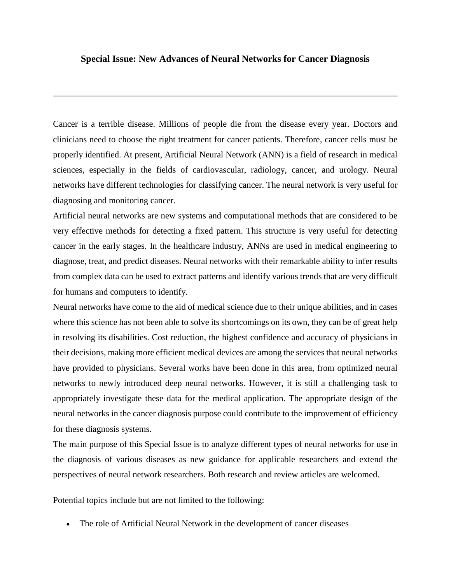## **Special Issue: New Advances of Neural Networks for Cancer Diagnosis**

Cancer is a terrible disease. Millions of people die from the disease every year. Doctors and clinicians need to choose the right treatment for cancer patients. Therefore, cancer cells must be properly identified. At present, Artificial Neural Network (ANN) is a field of research in medical sciences, especially in the fields of cardiovascular, radiology, cancer, and urology. Neural networks have different technologies for classifying cancer. The neural network is very useful for diagnosing and monitoring cancer.

Artificial neural networks are new systems and computational methods that are considered to be very effective methods for detecting a fixed pattern. This structure is very useful for detecting cancer in the early stages. In the healthcare industry, ANNs are used in medical engineering to diagnose, treat, and predict diseases. Neural networks with their remarkable ability to infer results from complex data can be used to extract patterns and identify various trends that are very difficult for humans and computers to identify.

Neural networks have come to the aid of medical science due to their unique abilities, and in cases where this science has not been able to solve its shortcomings on its own, they can be of great help in resolving its disabilities. Cost reduction, the highest confidence and accuracy of physicians in their decisions, making more efficient medical devices are among the services that neural networks have provided to physicians. Several works have been done in this area, from optimized neural networks to newly introduced deep neural networks. However, it is still a challenging task to appropriately investigate these data for the medical application. The appropriate design of the neural networks in the cancer diagnosis purpose could contribute to the improvement of efficiency for these diagnosis systems.

The main purpose of this Special Issue is to analyze different types of neural networks for use in the diagnosis of various diseases as new guidance for applicable researchers and extend the perspectives of neural network researchers. Both research and review articles are welcomed.

Potential topics include but are not limited to the following:

The role of Artificial Neural Network in the development of cancer diseases